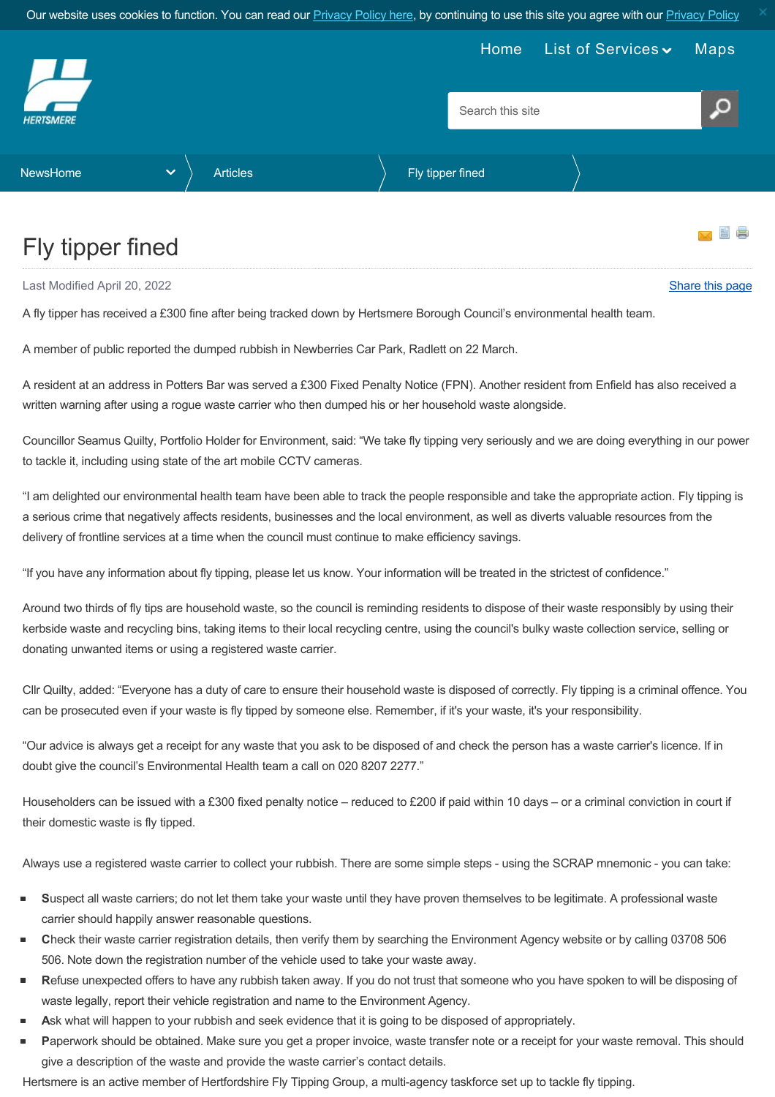Our website uses cookies to function. You can read our **[Privacy Policy here](https://www.hertsmere.gov.uk/Privacy--Cookies.aspx)**, by continuing to use this site you agree with our **Privacy Policy** 

<span id="page-0-0"></span>

## Fly tipper fined

Last Modified April 20, 2022 [Share this page](http://www.addthis.com/bookmark.php?v=250&pubid=xa-502e5fd570edcb1e) of the state of the state of the state of the state of the state of the state of the state of the state of the state of the state of the state of the state of the state of the s

A fly tipper has received a £300 fine after being tracked down by Hertsmere Borough Council's environmental health team.

A member of public reported the dumped rubbish in Newberries Car Park, Radlett on 22 March.

A resident at an address in Potters Bar was served a £300 Fixed Penalty Notice (FPN). Another resident from Enfield has also received a written warning after using a rogue waste carrier who then dumped his or her household waste alongside.

Councillor Seamus Quilty, Portfolio Holder for Environment, said: "We take fly tipping very seriously and we are doing everything in our power to tackle it, including using state of the art mobile CCTV cameras.

"I am delighted our environmental health team have been able to track the people responsible and take the appropriate action. Fly tipping is a serious crime that negatively affects residents, businesses and the local environment, as well as diverts valuable resources from the delivery of frontline services at a time when the council must continue to make efficiency savings.

"If you have any information about fly tipping, please let us know. Your information will be treated in the strictest of confidence."

Around two thirds of fly tips are household waste, so the council is reminding residents to dispose of their waste responsibly by using their kerbside waste and recycling bins, taking items to their local recycling centre, using the council's bulky waste collection service, selling or donating unwanted items or using a registered waste carrier.

Cllr Quilty, added: "Everyone has a duty of care to ensure their household waste is disposed of correctly. Fly tipping is a criminal offence. You can be prosecuted even if your waste is fly tipped by someone else. Remember, if it's your waste, it's your responsibility.

"Our advice is always get a receipt for any waste that you ask to be disposed of and check the person has a waste carrier's licence. If in doubt give the council's Environmental Health team a call on 020 8207 2277."

Householders can be issued with a £300 fixed penalty notice – reduced to £200 if paid within 10 days – or a criminal conviction in court if their domestic waste is fly tipped.

Always use a registered waste carrier to collect your rubbish. There are some simple steps - using the SCRAP mnemonic - you can take:

- **S**uspect all waste carriers; do not let them take your waste until they have proven themselves to be legitimate. A professional waste carrier should happily answer reasonable questions.
- **C**heck their waste carrier registration details, then verify them by searching the Environment Agency website or by calling 03708 506 506. Note down the registration number of the vehicle used to take your waste away.
- **R**efuse unexpected offers to have any rubbish taken away. If you do not trust that someone who you have spoken to will be disposing of waste legally, report their vehicle registration and name to the Environment Agency.
- Ask what will happen to your rubbish and seek evidence that it is going to be disposed of appropriately.
- Paperwork should be obtained. Make sure you get a proper invoice, waste transfer note or a receipt for your waste removal. This should give a description of the waste and provide the waste carrier's contact details.

Hertsmere is an active member of Hertfordshire Fly Tipping Group, a multi-agency taskforce set up to tackle fly tipping.